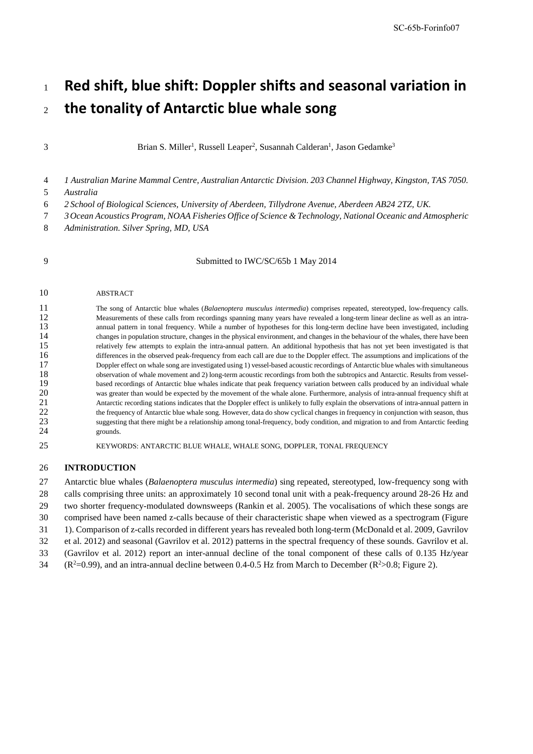# <sup>1</sup>**Red shift, blue shift: Doppler shifts and seasonal variation in** <sup>2</sup>**the tonality of Antarctic blue whale song**

3 **Brian S. Miller<sup>1</sup>, Russell Leaper<sup>2</sup>, Susannah Calderan<sup>1</sup>, Jason Gedamke<sup>3</sup>** 

4 *1 Australian Marine Mammal Centre, Australian Antarctic Division. 203 Channel Highway, Kingston, TAS 7050.*  5 *Australia*

- 6 *2 School of Biological Sciences, University of Aberdeen, Tillydrone Avenue, Aberdeen AB24 2TZ, UK.*
- 7 *3Ocean Acoustics Program, NOAA Fisheries Office of Science & Technology, National Oceanic and Atmospheric*
- 8 *Administration. Silver Spring, MD, USA*

9 Submitted to IWC/SC/65b 1 May 2014

#### 10 ABSTRACT

11 The song of Antarctic blue whales (*Balaenoptera musculus intermedia*) comprises repeated, stereotyped, low-frequency calls.<br>12 Measurements of these calls from recordings spanning many vears have revealed a long-term l 12 Measurements of these calls from recordings spanning many years have revealed a long-term linear decline as well as an intra-<br>13 manual pattern in tonal frequency. While a number of hypotheses for this long-term decline 13 annual pattern in tonal frequency. While a number of hypotheses for this long-term decline have been investigated, including changes in population structure, changes in the physical environment, and changes in the behav 14 changes in population structure, changes in the physical environment, and changes in the behaviour of the whales, there have been<br>15 relatively few attempts to explain the intra-annual pattern. An additional hypothesis 15 relatively few attempts to explain the intra-annual pattern. An additional hypothesis that has not yet been investigated is that 16 differences in the observed peak-frequency from each call are due to the Doppler effect. The assumptions and implications of the 17 Doppler effect on whale song are investigated using 1) vessel-based acoustic recordings 17 Doppler effect on whale song are investigated using 1) vessel-based acoustic recordings of Antarctic blue whales with simultaneous<br>18 observation of whale movement and 2) long-term acoustic recordings from both the subt 18 observation of whale movement and 2) long-term acoustic recordings from both the subtropics and Antarctic. Results from vessel-<br>19 based recordings of Antarctic blue whales indicate that peak frequency variation between 19 based recordings of Antarctic blue whales indicate that peak frequency variation between calls produced by an individual whale 20 was greater than would be expected by the movement of the whale alone. Furthermore, analy was greater than would be expected by the movement of the whale alone. Furthermore, analysis of intra-annual frequency shift at<br>
21 Antarctic recording stations indicates that the Doppler effect is unlikely to fully explai 21 Antarctic recording stations indicates that the Doppler effect is unlikely to fully explain the observations of intra-annual pattern in 22 the frequency of Antarctic blue whale song. However, data do show cyclical changes in frequency in conjunction with season, thus 23 suggesting that there might be a relationship among tonal-frequency, body condition, and migration to and from Antarctic feeding grounds.

## 25 KEYWORDS: ANTARCTIC BLUE WHALE, WHALE SONG, DOPPLER, TONAL FREQUENCY

### 26 **INTRODUCTION**

 Antarctic blue whales (*Balaenoptera musculus intermedia*) sing repeated, stereotyped, low-frequency song with calls comprising three units: an approximately 10 second tonal unit with a peak-frequency around 28-26 Hz and two shorter frequency-modulated downsweeps (Rankin et al. 2005). The vocalisations of which these songs are comprised have been named z-calls because of their characteristic shape when viewed as a spectrogram [\(Figure](#page-1-0)  [1\)](#page-1-0). Comparison of z-calls recorded in different years has revealed both long-term (McDonald et al. 2009, Gavrilov et al. 2012) and seasonal (Gavrilov et al. 2012) patterns in the spectral frequency of these sounds. Gavrilov et al. (Gavrilov et al. 2012) report an inter-annual decline of the tonal component of these calls of 0.135 Hz/year  $( R^2 = 0.99)$ , and an intra-annual decline between 0.4-0.5 Hz from March to December ( $R^2 > 0.8$ ; Figure 2).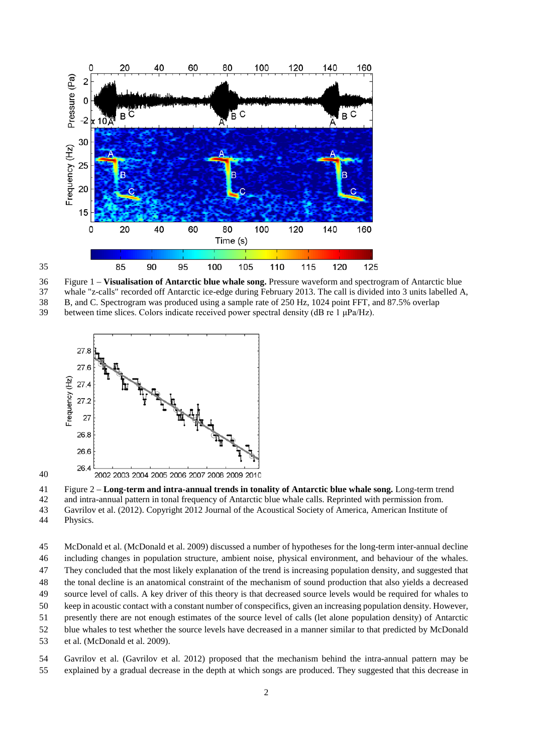

<span id="page-1-0"></span>Figure 1 – **Visualisation of Antarctic blue whale song.** Pressure waveform and spectrogram of Antarctic blue

whale "z-calls" recorded off Antarctic ice-edge during February 2013. The call is divided into 3 units labelled A, 38 B, and C. Spectrogram was produced using a sample rate of 250 Hz, 1024 point FFT, and 87.5% overlap between time slices. Colors indicate received power spectral density (dB re 1  $\mu$ Pa/Hz).

between time slices. Colors indicate received power spectral density (dB re 1 μPa/Hz).



<span id="page-1-1"></span>Figure 2 – **Long-term and intra-annual trends in tonality of Antarctic blue whale song.** Long-term trend

and intra-annual pattern in tonal frequency of Antarctic blue whale calls. Reprinted with permission from.

 Gavrilov et al. (2012). Copyright 2012 Journal of the Acoustical Society of America, American Institute of Physics.

 McDonald et al. (McDonald et al. 2009) discussed a number of hypotheses for the long-term inter-annual decline including changes in population structure, ambient noise, physical environment, and behaviour of the whales. They concluded that the most likely explanation of the trend is increasing population density, and suggested that the tonal decline is an anatomical constraint of the mechanism of sound production that also yields a decreased

source level of calls. A key driver of this theory is that decreased source levels would be required for whales to

- keep in acoustic contact with a constant number of conspecifics, given an increasing population density. However,
- presently there are not enough estimates of the source level of calls (let alone population density) of Antarctic
- blue whales to test whether the source levels have decreased in a manner similar to that predicted by McDonald
- et al. (McDonald et al. 2009).

 Gavrilov et al. (Gavrilov et al. 2012) proposed that the mechanism behind the intra-annual pattern may be explained by a gradual decrease in the depth at which songs are produced. They suggested that this decrease in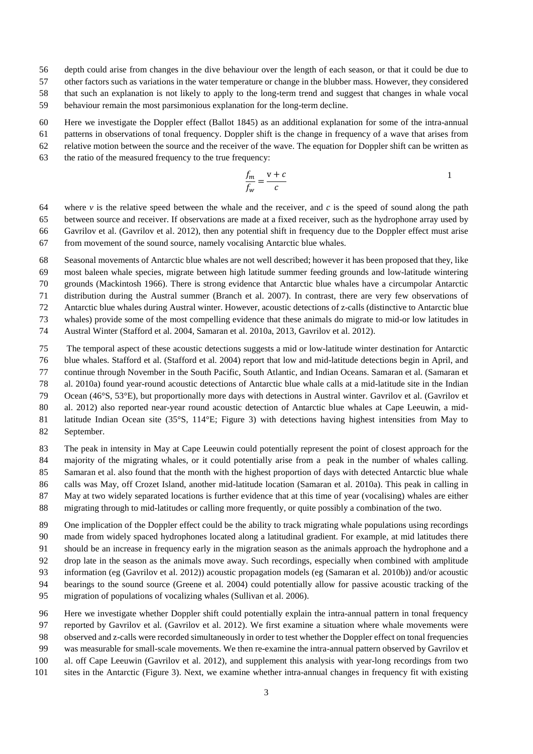- depth could arise from changes in the dive behaviour over the length of each season, or that it could be due to
- other factors such as variations in the water temperature or change in the blubber mass. However, they considered
- that such an explanation is not likely to apply to the long-term trend and suggest that changes in whale vocal
- behaviour remain the most parsimonious explanation for the long-term decline.
- Here we investigate the Doppler effect (Ballot 1845) as an additional explanation for some of the intra-annual
- patterns in observations of tonal frequency. Doppler shift is the change in frequency of a wave that arises from
- relative motion between the source and the receiver of the wave. The equation for Doppler shift can be written as
- the ratio of the measured frequency to the true frequency:

<span id="page-2-0"></span>
$$
\frac{f_m}{f_w} = \frac{v + c}{c}
$$

- where *v* is the relative speed between the whale and the receiver, and *c* is the speed of sound along the path between source and receiver. If observations are made at a fixed receiver, such as the hydrophone array used by Gavrilov et al. (Gavrilov et al. 2012), then any potential shift in frequency due to the Doppler effect must arise from movement of the sound source, namely vocalising Antarctic blue whales.
- Seasonal movements of Antarctic blue whales are not well described; however it has been proposed that they, like most baleen whale species, migrate between high latitude summer feeding grounds and low-latitude wintering grounds (Mackintosh 1966). There is strong evidence that Antarctic blue whales have a circumpolar Antarctic distribution during the Austral summer (Branch et al. 2007). In contrast, there are very few observations of Antarctic blue whales during Austral winter. However, acoustic detections of z-calls (distinctive to Antarctic blue
- whales) provide some of the most compelling evidence that these animals do migrate to mid-or low latitudes in
- Austral Winter (Stafford et al. 2004, Samaran et al. 2010a, 2013, Gavrilov et al. 2012).
- The temporal aspect of these acoustic detections suggests a mid or low-latitude winter destination for Antarctic blue whales. Stafford et al. (Stafford et al. 2004) report that low and mid-latitude detections begin in April, and continue through November in the South Pacific, South Atlantic, and Indian Oceans. Samaran et al. (Samaran et al. 2010a) found year-round acoustic detections of Antarctic blue whale calls at a mid-latitude site in the Indian Ocean (46°S, 53°E), but proportionally more days with detections in Austral winter. Gavrilov et al. (Gavrilov et al. 2012) also reported near-year round acoustic detection of Antarctic blue whales at Cape Leeuwin, a mid-latitude Indian Ocean site (35°S, 114°E; [Figure 3\)](#page-3-0) with detections having highest intensities from May to
- September.
- The peak in intensity in May at Cape Leeuwin could potentially represent the point of closest approach for the majority of the migrating whales, or it could potentially arise from a peak in the number of whales calling. Samaran et al. also found that the month with the highest proportion of days with detected Antarctic blue whale calls was May, off Crozet Island, another mid-latitude location (Samaran et al. 2010a). This peak in calling in May at two widely separated locations is further evidence that at this time of year (vocalising) whales are either
- migrating through to mid-latitudes or calling more frequently, or quite possibly a combination of the two.
- One implication of the Doppler effect could be the ability to track migrating whale populations using recordings made from widely spaced hydrophones located along a latitudinal gradient. For example, at mid latitudes there should be an increase in frequency early in the migration season as the animals approach the hydrophone and a drop late in the season as the animals move away. Such recordings, especially when combined with amplitude
- information (eg (Gavrilov et al. 2012)) acoustic propagation models (eg (Samaran et al. 2010b)) and/or acoustic
- bearings to the sound source (Greene et al. 2004) could potentially allow for passive acoustic tracking of the
- migration of populations of vocalizing whales (Sullivan et al. 2006).
- Here we investigate whether Doppler shift could potentially explain the intra-annual pattern in tonal frequency
- reported by Gavrilov et al. (Gavrilov et al. 2012). We first examine a situation where whale movements were
- observed and z-calls were recorded simultaneously in order to test whether the Doppler effect on tonal frequencies
- was measurable for small-scale movements. We then re-examine the intra-annual pattern observed by Gavrilov et
- al. off Cape Leeuwin (Gavrilov et al. 2012), and supplement this analysis with year-long recordings from two
- sites in the Antarctic [\(Figure 3\)](#page-3-0). Next, we examine whether intra-annual changes in frequency fit with existing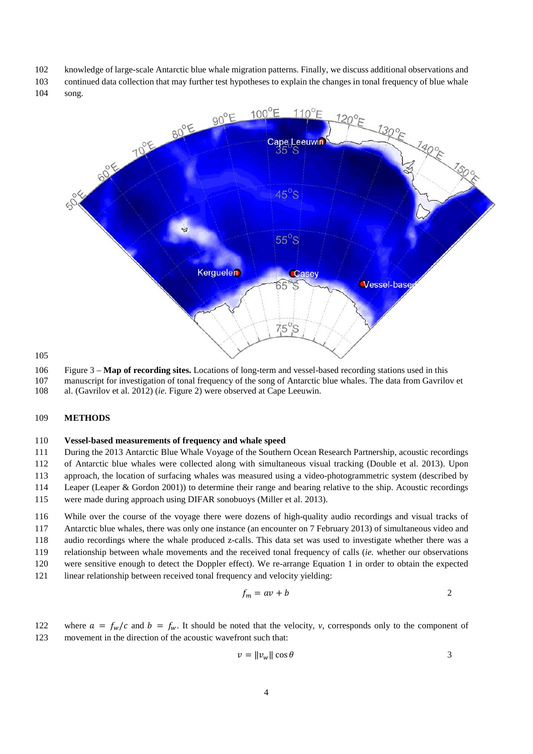- knowledge of large-scale Antarctic blue whale migration patterns. Finally, we discuss additional observations and
- continued data collection that may further test hypotheses to explain the changes in tonal frequency of blue whale song.



- <span id="page-3-0"></span>Figure 3 – **Map of recording sites.** Locations of long-term and vessel-based recording stations used in this
- manuscript for investigation of tonal frequency of the song of Antarctic blue whales. The data from Gavrilov et
- al. (Gavrilov et al. 2012) (*ie*. [Figure 2\)](#page-1-1) were observed at Cape Leeuwin.

#### **METHODS**

#### **Vessel-based measurements of frequency and whale speed**

During the 2013 Antarctic Blue Whale Voyage of the Southern Ocean Research Partnership, acoustic recordings

of Antarctic blue whales were collected along with simultaneous visual tracking (Double et al. 2013). Upon

approach, the location of surfacing whales was measured using a video-photogrammetric system (described by

Leaper (Leaper & Gordon 2001)) to determine their range and bearing relative to the ship. Acoustic recordings

were made during approach using DIFAR sonobuoys (Miller et al. 2013).

 While over the course of the voyage there were dozens of high-quality audio recordings and visual tracks of Antarctic blue whales, there was only one instance (an encounter on 7 February 2013) of simultaneous video and audio recordings where the whale produced z-calls. This data set was used to investigate whether there was a relationship between whale movements and the received tonal frequency of calls (*ie.* whether our observations were sensitive enough to detect the Doppler effect). We re-arrange Equation [1](#page-2-0) in order to obtain the expected

linear relationship between received tonal frequency and velocity yielding:

<span id="page-3-1"></span>
$$
f_m = av + b \tag{2}
$$

122 where  $a = f_w/c$  and  $b = f_w$ . It should be noted that the velocity, *v*, corresponds only to the component of movement in the direction of the acoustic wavefront such that: movement in the direction of the acoustic wavefront such that:

$$
v = ||v_w|| \cos \theta \tag{3}
$$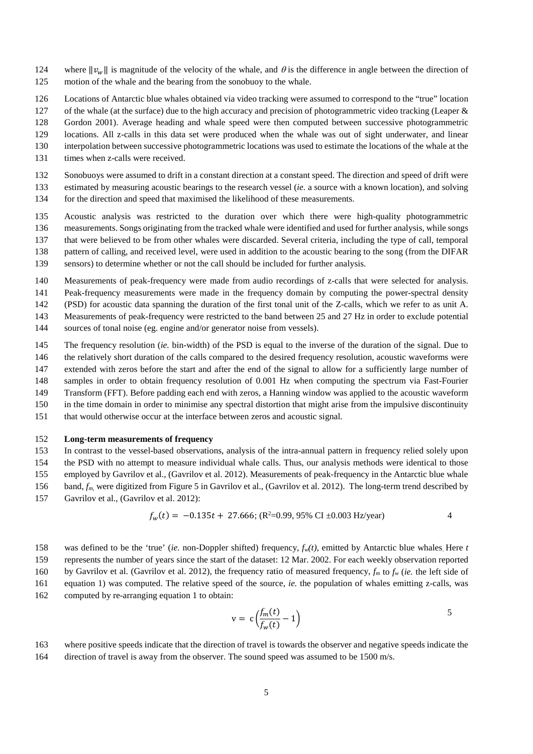- 124 where  $||v_w||$  is magnitude of the velocity of the whale, and  $\theta$  is the difference in angle between the direction of motion of the whale and the bearing from the sonobuoy to the whale. motion of the whale and the bearing from the sonobuoy to the whale.
- Locations of Antarctic blue whales obtained via video tracking were assumed to correspond to the "true" location
- 127 of the whale (at the surface) due to the high accuracy and precision of photogrammetric video tracking (Leaper &
- Gordon 2001). Average heading and whale speed were then computed between successive photogrammetric
- locations. All z-calls in this data set were produced when the whale was out of sight underwater, and linear
- interpolation between successive photogrammetric locations was used to estimate the locations of the whale at the
- times when z-calls were received.
- Sonobuoys were assumed to drift in a constant direction at a constant speed. The direction and speed of drift were
- estimated by measuring acoustic bearings to the research vessel (*ie.* a source with a known location), and solving for the direction and speed that maximised the likelihood of these measurements.
- Acoustic analysis was restricted to the duration over which there were high-quality photogrammetric measurements. Songs originating from the tracked whale were identified and used for further analysis, while songs
- that were believed to be from other whales were discarded. Several criteria, including the type of call, temporal 138 pattern of calling, and received level, were used in addition to the acoustic bearing to the song (from the DIFAR
- sensors) to determine whether or not the call should be included for further analysis.
- Measurements of peak-frequency were made from audio recordings of z-calls that were selected for analysis.
- Peak-frequency measurements were made in the frequency domain by computing the power-spectral density
- (PSD) for acoustic data spanning the duration of the first tonal unit of the Z-calls, which we refer to as unit A.
- Measurements of peak-frequency were restricted to the band between 25 and 27 Hz in order to exclude potential
- sources of tonal noise (eg. engine and/or generator noise from vessels).
- The frequency resolution (*ie.* bin-width) of the PSD is equal to the inverse of the duration of the signal. Due to
- the relatively short duration of the calls compared to the desired frequency resolution, acoustic waveforms were
- extended with zeros before the start and after the end of the signal to allow for a sufficiently large number of
- samples in order to obtain frequency resolution of 0.001 Hz when computing the spectrum via Fast-Fourier
- Transform (FFT). Before padding each end with zeros, a Hanning window was applied to the acoustic waveform
- in the time domain in order to minimise any spectral distortion that might arise from the impulsive discontinuity
- that would otherwise occur at the interface between zeros and acoustic signal.

#### **Long-term measurements of frequency**

- In contrast to the vessel-based observations, analysis of the intra-annual pattern in frequency relied solely upon the PSD with no attempt to measure individual whale calls. Thus, our analysis methods were identical to those employed by Gavrilov et al., (Gavrilov et al. 2012). Measurements of peak-frequency in the Antarctic blue whale
- 156 band,  $f_m$ , were digitized from Figure 5 in Gavrilov et al., (Gavrilov et al. 2012). The long-term trend described by
- Gavrilov et al., (Gavrilov et al. 2012):

$$
f_w(t) = -0.135t + 27.666; (R^2=0.99, 95\% \text{ CI} \pm 0.003 \text{ Hz/year})
$$

$$
158
$$
 was defined to be the 'true' (*ie*. non-Doppler shifted) frequency,  $f_w(t)$ , emitted by Antarctic blue whales. Here *t* represents the number of years since the start of the dataset: 12 Mar. 2002. For each weekly observation reported

by Gavrilov et al. (Gavrilov et al. 2012), the frequency ratio of measured frequency, *fm* to *fw* (*ie.* the left side of

- equation [1\)](#page-2-0) was computed. The relative speed of the source, *ie.* the population of whales emitting z-calls, was
- computed by re-arranging equation [1](#page-2-0) to obtain:

<span id="page-4-1"></span><span id="page-4-0"></span>
$$
v = c \left( \frac{f_m(t)}{f_w(t)} - 1 \right)
$$

 where positive speeds indicate that the direction of travel is towards the observer and negative speeds indicate the 164 direction of travel is away from the observer. The sound speed was assumed to be 1500 m/s.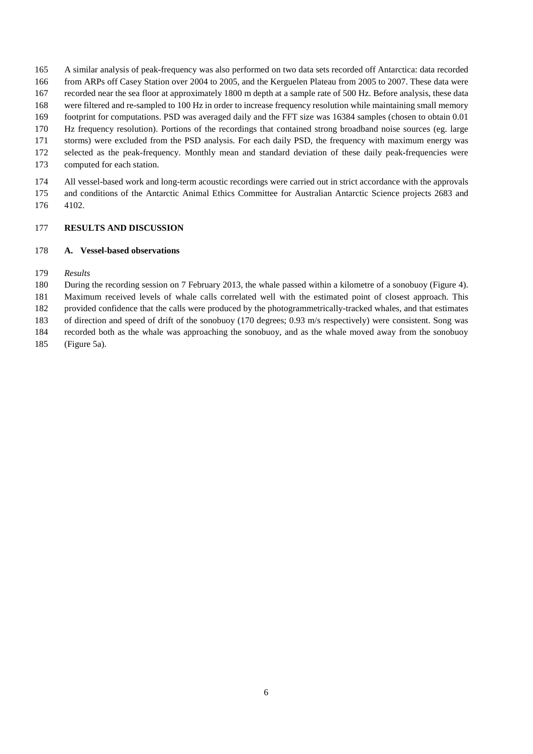- A similar analysis of peak-frequency was also performed on two data sets recorded off Antarctica: data recorded
- from ARPs off Casey Station over 2004 to 2005, and the Kerguelen Plateau from 2005 to 2007. These data were
- recorded near the sea floor at approximately 1800 m depth at a sample rate of 500 Hz. Before analysis, these data
- were filtered and re-sampled to 100 Hz in order to increase frequency resolution while maintaining small memory
- footprint for computations. PSD was averaged daily and the FFT size was 16384 samples (chosen to obtain 0.01 Hz frequency resolution). Portions of the recordings that contained strong broadband noise sources (eg. large
- storms) were excluded from the PSD analysis. For each daily PSD, the frequency with maximum energy was
- selected as the peak-frequency. Monthly mean and standard deviation of these daily peak-frequencies were
- computed for each station.
- All vessel-based work and long-term acoustic recordings were carried out in strict accordance with the approvals and conditions of the Antarctic Animal Ethics Committee for Australian Antarctic Science projects 2683 and 4102.

### **RESULTS AND DISCUSSION**

### **A. Vessel-based observations**

- *Results*
- During the recording session on 7 February 2013, the whale passed within a kilometre of a sonobuoy [\(Figure 4\)](#page-6-0).
- Maximum received levels of whale calls correlated well with the estimated point of closest approach. This
- provided confidence that the calls were produced by the photogrammetrically-tracked whales, and that estimates
- of direction and speed of drift of the sonobuoy (170 degrees; 0.93 m/s respectively) were consistent. Song was
- recorded both as the whale was approaching the sonobuoy, and as the whale moved away from the sonobuoy
- [\(Figure 5a](#page-7-0)).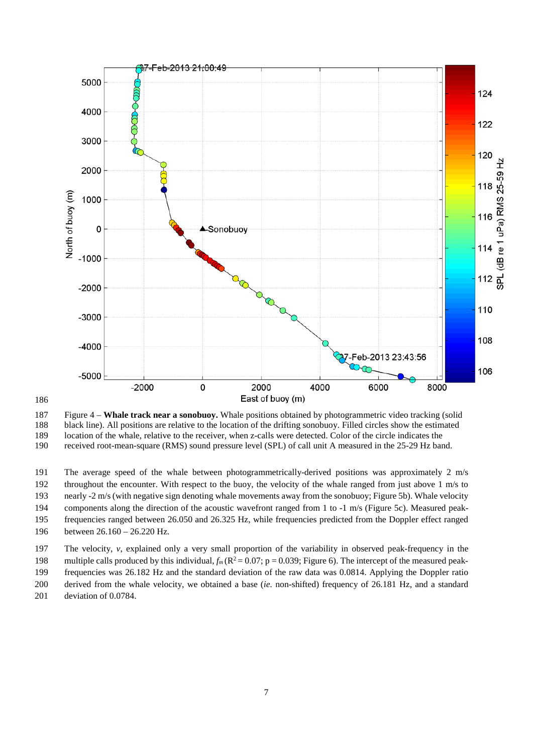<span id="page-6-0"></span>

 Figure 4 – **Whale track near a sonobuoy.** Whale positions obtained by photogrammetric video tracking (solid 188 black line). All positions are relative to the location of the drifting sonobuoy. Filled circles show the estimated location of the whale, relative to the receiver, when z-calls were detected. Color of the circle indic location of the whale, relative to the receiver, when z-calls were detected. Color of the circle indicates the received root-mean-square (RMS) sound pressure level (SPL) of call unit A measured in the 25-29 Hz band.

 The average speed of the whale between photogrammetrically-derived positions was approximately 2 m/s throughout the encounter. With respect to the buoy, the velocity of the whale ranged from just above 1 m/s to nearly -2 m/s (with negative sign denoting whale movements away from the sonobuoy; [Figure 5b](#page-7-0)). Whale velocity components along the direction of the acoustic wavefront ranged from 1 to -1 m/s [\(Figure 5c](#page-7-0)). Measured peak- frequencies ranged between 26.050 and 26.325 Hz, while frequencies predicted from the Doppler effect ranged between 26.160 – 26.220 Hz.

The velocity, *v*, explained only a very small proportion of the variability in observed peak-frequency in the

198 multiple calls produced by this individual,  $f_m(R^2 = 0.07; p = 0.039;$  [Figure 6\)](#page-8-0). The intercept of the measured peak-

 frequencies was 26.182 Hz and the standard deviation of the raw data was 0.0814. Applying the Doppler ratio derived from the whale velocity, we obtained a base (*ie.* non-shifted) frequency of 26.181 Hz, and a standard

deviation of 0.0784.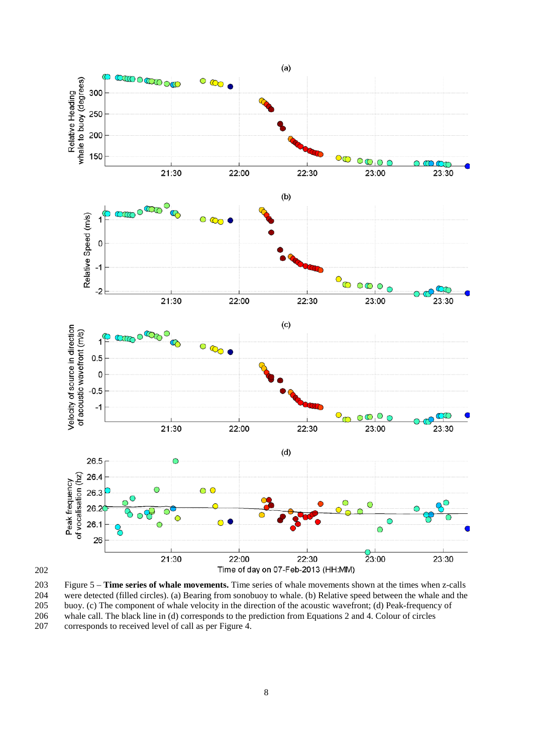<span id="page-7-0"></span>

203 Figure 5 – **Time series of whale movements.** Time series of whale movements shown at the times when z-calls 204 were detected (filled circles). (a) Bearing from sonobuoy to whale. (b) Relative speed between the whale and the buoy. (c) The component of whale velocity in the direction of the acoustic wavefront; (d) Peak-frequency buoy. (c) The component of whale velocity in the direction of the acoustic wavefront; (d) Peak-frequency of 206 whale call. The black line in (d) corresponds to the prediction from Equations [2](#page-3-1) an[d 4.](#page-4-0) Colour of circles corresponds to received level of call as per Figure 4. corresponds to received level of call as per Figure 4.

202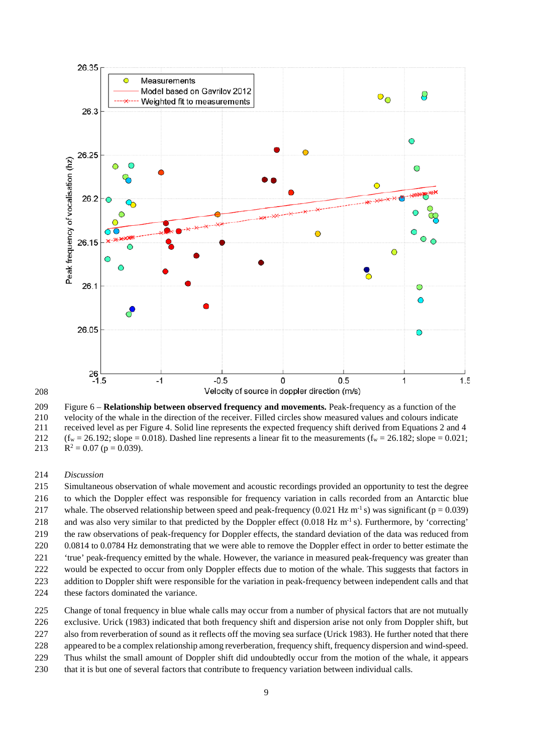<span id="page-8-0"></span>



 Figure 6 – **Relationship between observed frequency and movements.** Peak-frequency as a function of the 210 velocity of the whale in the direction of the receiver. Filled circles show measured values and colours indicate<br>211 eceived level as per Figure 4. Solid line represents the expected frequency shift derived from Equati received level as per Figure 4. Solid line represents the expected frequency shift derived from Equation[s 2](#page-3-1) and [4](#page-4-0) 212 ( $f_w = 26.192$ ; slope = 0.018). Dashed line represents a linear fit to the measurements ( $f_w = 26.182$ ; slope = 0.021;

213  $R^2 = 0.07$  (p = 0.039).

#### *Discussion*

 Simultaneous observation of whale movement and acoustic recordings provided an opportunity to test the degree to which the Doppler effect was responsible for frequency variation in calls recorded from an Antarctic blue 217 whale. The observed relationship between speed and peak-frequency (0.021 Hz m<sup>-1</sup> s) was significant (p = 0.039) 218 and was also very similar to that predicted by the Doppler effect  $(0.018 \text{ Hz m}^{-1} \text{ s})$ . Furthermore, by 'correcting' the raw observations of peak-frequency for Doppler effects, the standard deviation of the data was reduced from 0.0814 to 0.0784 Hz demonstrating that we were able to remove the Doppler effect in order to better estimate the 'true' peak-frequency emitted by the whale. However, the variance in measured peak-frequency was greater than would be expected to occur from only Doppler effects due to motion of the whale. This suggests that factors in addition to Doppler shift were responsible for the variation in peak-frequency between independent calls and that 224 these factors dominated the variance.

Change of tonal frequency in blue whale calls may occur from a number of physical factors that are not mutually

exclusive. Urick (1983) indicated that both frequency shift and dispersion arise not only from Doppler shift, but

also from reverberation of sound as it reflects off the moving sea surface (Urick 1983). He further noted that there

appeared to be a complex relationship among reverberation, frequency shift, frequency dispersion and wind-speed.

Thus whilst the small amount of Doppler shift did undoubtedly occur from the motion of the whale, it appears

that it is but one of several factors that contribute to frequency variation between individual calls.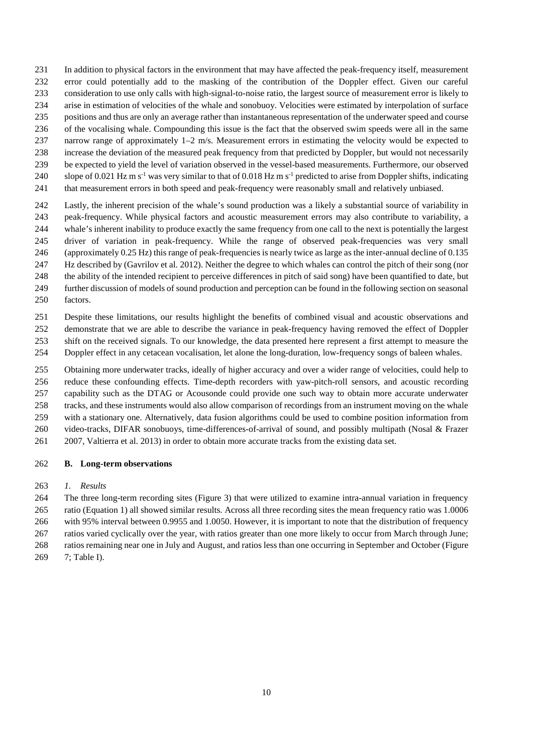- In addition to physical factors in the environment that may have affected the peak-frequency itself, measurement
- error could potentially add to the masking of the contribution of the Doppler effect. Given our careful consideration to use only calls with high-signal-to-noise ratio, the largest source of measurement error is likely to
- arise in estimation of velocities of the whale and sonobuoy. Velocities were estimated by interpolation of surface
- positions and thus are only an average rather than instantaneous representation of the underwater speed and course
- of the vocalising whale. Compounding this issue is the fact that the observed swim speeds were all in the same
- narrow range of approximately 1–2 m/s. Measurement errors in estimating the velocity would be expected to
- increase the deviation of the measured peak frequency from that predicted by Doppler, but would not necessarily
- be expected to yield the level of variation observed in the vessel-based measurements. Furthermore, our observed
- 240 slope of 0.021 Hz m s<sup>-1</sup> was very similar to that of 0.018 Hz m s<sup>-1</sup> predicted to arise from Doppler shifts, indicating
- that measurement errors in both speed and peak-frequency were reasonably small and relatively unbiased.
- Lastly, the inherent precision of the whale's sound production was a likely a substantial source of variability in peak-frequency. While physical factors and acoustic measurement errors may also contribute to variability, a whale's inherent inability to produce exactly the same frequency from one call to the next is potentially the largest driver of variation in peak-frequency. While the range of observed peak-frequencies was very small (approximately 0.25 Hz) this range of peak-frequencies is nearly twice as large as the inter-annual decline of 0.135 Hz described by (Gavrilov et al. 2012). Neither the degree to which whales can control the pitch of their song (nor the ability of the intended recipient to perceive differences in pitch of said song) have been quantified to date, but
- further discussion of models of sound production and perception can be found in the following section on seasonal factors.
- Despite these limitations, our results highlight the benefits of combined visual and acoustic observations and demonstrate that we are able to describe the variance in peak-frequency having removed the effect of Doppler shift on the received signals. To our knowledge, the data presented here represent a first attempt to measure the
- Doppler effect in any cetacean vocalisation, let alone the long-duration, low-frequency songs of baleen whales.
- Obtaining more underwater tracks, ideally of higher accuracy and over a wider range of velocities, could help to reduce these confounding effects. Time-depth recorders with yaw-pitch-roll sensors, and acoustic recording capability such as the DTAG or Acousonde could provide one such way to obtain more accurate underwater tracks, and these instruments would also allow comparison of recordings from an instrument moving on the whale with a stationary one. Alternatively, data fusion algorithms could be used to combine position information from video-tracks, DIFAR sonobuoys, time-differences-of-arrival of sound, and possibly multipath (Nosal & Frazer
- 2007, Valtierra et al. 2013) in order to obtain more accurate tracks from the existing data set.

### **B. Long-term observations**

*1. Results*

 The three long-term recording sites [\(Figure 3\)](#page-3-0) that were utilized to examine intra-annual variation in frequency ratio (Equation [1\)](#page-2-0) all showed similar results. Across all three recording sites the mean frequency ratio was 1.0006

- with 95% interval between 0.9955 and 1.0050. However, it is important to note that the distribution of frequency ratios varied cyclically over the year, with ratios greater than one more likely to occur from March through June;
- ratios remaining near one in July and August, and ratios less than one occurring in September and October [\(Figure](#page-10-0)
- [7;](#page-10-0) [Table I\)](#page-15-0).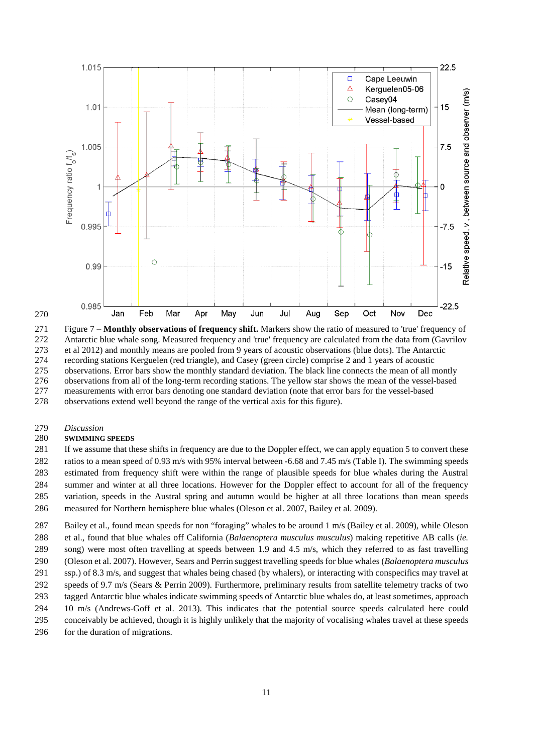<span id="page-10-0"></span>

 Figure 7 – **Monthly observations of frequency shift.** Markers show the ratio of measured to 'true' frequency of Antarctic blue whale song. Measured frequency and 'true' frequency are calculated from the data from (Gavrilov 273 et al 2012) and monthly means are pooled from 9 years of acoustic observations (blue dots). The Antarctic recording stations Kerguelen (red triangle), and Casey (green circle) comprise 2 and 1 years of acoustic 274 recording stations Kerguelen (red triangle), and Casey (green circle) comprise 2 and 1 years of acoustic<br>275 observations. Error bars show the monthly standard deviation. The black line connects the mean of all n observations. Error bars show the monthly standard deviation. The black line connects the mean of all montly observations from all of the long-term recording stations. The yellow star shows the mean of the vessel-based measurements with error bars denoting one standard deviation (note that error bars for the vessel-based observations extend well beyond the range of the vertical axis for this figure).

*Discussion*

#### **SWIMMING SPEEDS**

 If we assume that these shifts in frequency are due to the Doppler effect, we can apply equation [5](#page-4-1) to convert these ratios to a mean speed of 0.93 m/s with 95% interval between -6.68 and 7.45 m/s [\(Table I\)](#page-15-0). The swimming speeds estimated from frequency shift were within the range of plausible speeds for blue whales during the Austral summer and winter at all three locations. However for the Doppler effect to account for all of the frequency variation, speeds in the Austral spring and autumn would be higher at all three locations than mean speeds measured for Northern hemisphere blue whales (Oleson et al. 2007, Bailey et al. 2009).

 Bailey et al., found mean speeds for non "foraging" whales to be around 1 m/s (Bailey et al. 2009), while Oleson et al., found that blue whales off California (*Balaenoptera musculus musculus*) making repetitive AB calls (*ie.* song) were most often travelling at speeds between 1.9 and 4.5 m/s, which they referred to as fast travelling (Oleson et al. 2007). However, Sears and Perrin suggest travelling speeds for blue whales (*Balaenoptera musculus*  291 ssp.) of 8.3 m/s, and suggest that whales being chased (by whalers), or interacting with conspecifics may travel at speeds of 9.7 m/s (Sears & Perrin 2009). Furthermore, preliminary results from satellite telemetry tracks of two tagged Antarctic blue whales indicate swimming speeds of Antarctic blue whales do, at least sometimes, approach 10 m/s (Andrews-Goff et al. 2013). This indicates that the potential source speeds calculated here could conceivably be achieved, though it is highly unlikely that the majority of vocalising whales travel at these speeds 296 for the duration of migrations.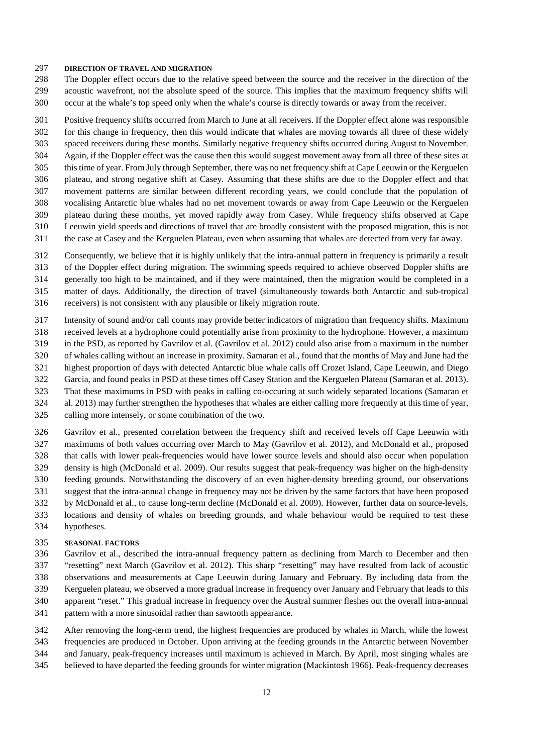#### **DIRECTION OF TRAVEL AND MIGRATION**

 The Doppler effect occurs due to the relative speed between the source and the receiver in the direction of the acoustic wavefront, not the absolute speed of the source. This implies that the maximum frequency shifts will occur at the whale's top speed only when the whale's course is directly towards or away from the receiver.

 Positive frequency shifts occurred from March to June at all receivers. If the Doppler effect alone was responsible for this change in frequency, then this would indicate that whales are moving towards all three of these widely spaced receivers during these months. Similarly negative frequency shifts occurred during August to November. Again, if the Doppler effect was the cause then this would suggest movement away from all three of these sites at this time of year. From July through September, there was no net frequency shift at Cape Leeuwin or the Kerguelen plateau, and strong negative shift at Casey. Assuming that these shifts are due to the Doppler effect and that movement patterns are similar between different recording years, we could conclude that the population of vocalising Antarctic blue whales had no net movement towards or away from Cape Leeuwin or the Kerguelen plateau during these months, yet moved rapidly away from Casey. While frequency shifts observed at Cape Leeuwin yield speeds and directions of travel that are broadly consistent with the proposed migration, this is not the case at Casey and the Kerguelen Plateau, even when assuming that whales are detected from very far away.

Consequently, we believe that it is highly unlikely that the intra-annual pattern in frequency is primarily a result

of the Doppler effect during migration. The swimming speeds required to achieve observed Doppler shifts are

generally too high to be maintained, and if they were maintained, then the migration would be completed in a

matter of days. Additionally, the direction of travel (simultaneously towards both Antarctic and sub-tropical

receivers) is not consistent with any plausible or likely migration route.

Intensity of sound and/or call counts may provide better indicators of migration than frequency shifts. Maximum

 received levels at a hydrophone could potentially arise from proximity to the hydrophone. However, a maximum in the PSD, as reported by Gavrilov et al. (Gavrilov et al. 2012) could also arise from a maximum in the number

of whales calling without an increase in proximity. Samaran et al., found that the months of May and June had the

highest proportion of days with detected Antarctic blue whale calls off Crozet Island, Cape Leeuwin, and Diego

Garcia, and found peaks in PSD at these times off Casey Station and the Kerguelen Plateau (Samaran et al. 2013).

That these maximums in PSD with peaks in calling co-occuring at such widely separated locations (Samaran et

al. 2013) may further strengthen the hypotheses that whales are either calling more frequently at this time of year,

calling more intensely, or some combination of the two.

 Gavrilov et al., presented correlation between the frequency shift and received levels off Cape Leeuwin with maximums of both values occurring over March to May (Gavrilov et al. 2012), and McDonald et al., proposed that calls with lower peak-frequencies would have lower source levels and should also occur when population density is high (McDonald et al. 2009). Our results suggest that peak-frequency was higher on the high-density feeding grounds. Notwithstanding the discovery of an even higher-density breeding ground, our observations suggest that the intra-annual change in frequency may not be driven by the same factors that have been proposed by McDonald et al., to cause long-term decline (McDonald et al. 2009). However, further data on source-levels, locations and density of whales on breeding grounds, and whale behaviour would be required to test these

hypotheses.

### **SEASONAL FACTORS**

 Gavrilov et al., described the intra-annual frequency pattern as declining from March to December and then "resetting" next March (Gavrilov et al. 2012). This sharp "resetting" may have resulted from lack of acoustic observations and measurements at Cape Leeuwin during January and February. By including data from the Kerguelen plateau, we observed a more gradual increase in frequency over January and February that leads to this apparent "reset." This gradual increase in frequency over the Austral summer fleshes out the overall intra-annual

- pattern with a more sinusoidal rather than sawtooth appearance.
- After removing the long-term trend, the highest frequencies are produced by whales in March, while the lowest
- frequencies are produced in October. Upon arriving at the feeding grounds in the Antarctic between November
- and January, peak-frequency increases until maximum is achieved in March. By April, most singing whales are
- believed to have departed the feeding grounds for winter migration (Mackintosh 1966). Peak-frequency decreases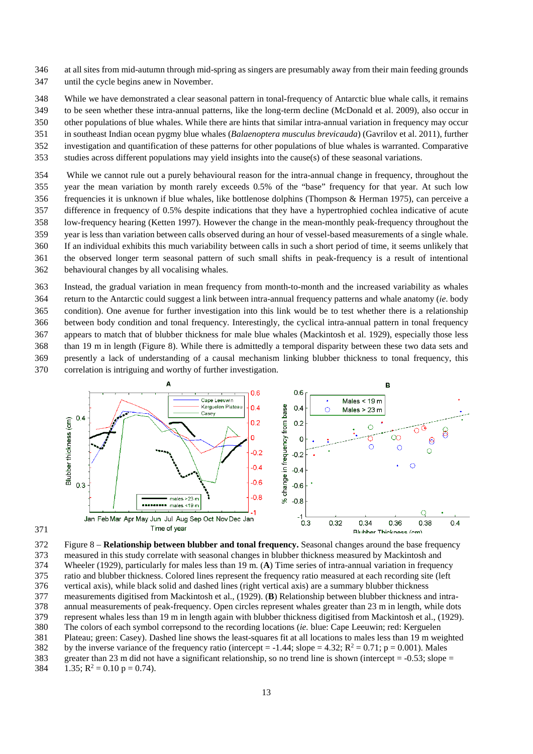- at all sites from mid-autumn through mid-spring as singers are presumably away from their main feeding grounds until the cycle begins anew in November.
- While we have demonstrated a clear seasonal pattern in tonal-frequency of Antarctic blue whale calls, it remains
- to be seen whether these intra-annual patterns, like the long-term decline (McDonald et al. 2009), also occur in
- other populations of blue whales. While there are hints that similar intra-annual variation in frequency may occur
- in southeast Indian ocean pygmy blue whales (*Balaenoptera musculus brevicauda*) (Gavrilov et al. 2011), further
- investigation and quantification of these patterns for other populations of blue whales is warranted. Comparative
- studies across different populations may yield insights into the cause(s) of these seasonal variations.

 While we cannot rule out a purely behavioural reason for the intra-annual change in frequency, throughout the year the mean variation by month rarely exceeds 0.5% of the "base" frequency for that year. At such low frequencies it is unknown if blue whales, like bottlenose dolphins (Thompson & Herman 1975), can perceive a difference in frequency of 0.5% despite indications that they have a hypertrophied cochlea indicative of acute low-frequency hearing (Ketten 1997). However the change in the mean-monthly peak-frequency throughout the year is less than variation between calls observed during an hour of vessel-based measurements of a single whale. If an individual exhibits this much variability between calls in such a short period of time, it seems unlikely that the observed longer term seasonal pattern of such small shifts in peak-frequency is a result of intentional behavioural changes by all vocalising whales.

 Instead, the gradual variation in mean frequency from month-to-month and the increased variability as whales return to the Antarctic could suggest a link between intra-annual frequency patterns and whale anatomy (*ie*. body condition). One avenue for further investigation into this link would be to test whether there is a relationship between body condition and tonal frequency. Interestingly, the cyclical intra-annual pattern in tonal frequency appears to match that of blubber thickness for male blue whales (Mackintosh et al. 1929), especially those less than 19 m in length [\(Figure 8\)](#page-12-0). While there is admittedly a temporal disparity between these two data sets and presently a lack of understanding of a causal mechanism linking blubber thickness to tonal frequency, this correlation is intriguing and worthy of further investigation.

<span id="page-12-0"></span>



 Figure 8 – **Relationship between blubber and tonal frequency.** Seasonal changes around the base frequency measured in this study correlate with seasonal changes in blubber thickness measured by Mackintosh and Wheeler (1929), particularly for males less than 19 m. (**A**) Time series of intra-annual variation in frequency ratio and blubber thickness. Colored lines represent the frequency ratio measured at each recording site (left vertical axis), while black solid and dashed lines (right vertical axis) are a summary blubber thickness measurements digitised from Mackintosh et al., (1929). (**B**) Relationship between blubber thickness and intra-378 annual measurements of peak-frequency. Open circles represent whales greater than 23 m in length, while dots represent whales less than 19 m in length again with blubber thickness digitised from Mackintosh et al., (192 represent whales less than 19 m in length again with blubber thickness digitised from Mackintosh et al., (1929). The colors of each symbol correpsond to the recording locations (*ie.* blue: Cape Leeuwin; red: Kerguelen Plateau; green: Casey). Dashed line shows the least-squares fit at all locations to males less than 19 m weighted 382 by the inverse variance of the frequency ratio (intercept = -1.44; slope = 4.32;  $R^2 = 0.71$ ; p = 0.001). Males greater than 23 m did not have a significant relationship, so no trend line is shown (intercept = -0.53; slope =  $1.35$ ;  $R^2 = 0.10$  p = 0.74).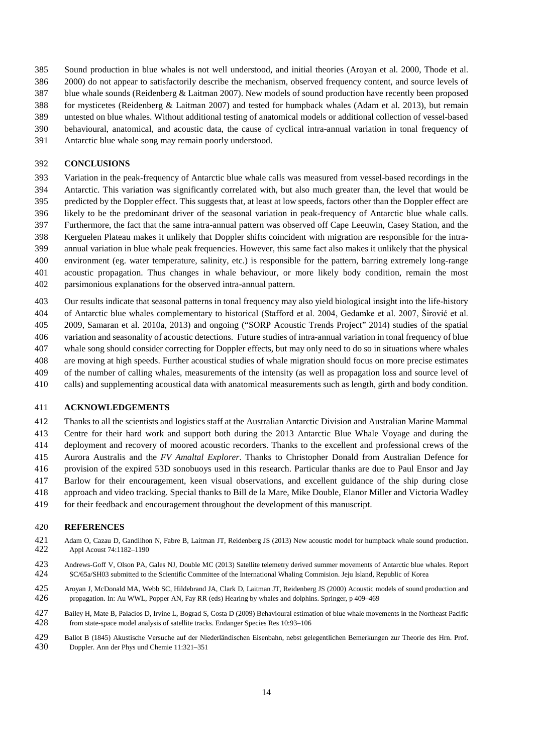- Sound production in blue whales is not well understood, and initial theories (Aroyan et al. 2000, Thode et al.
- 2000) do not appear to satisfactorily describe the mechanism, observed frequency content, and source levels of
- blue whale sounds (Reidenberg & Laitman 2007). New models of sound production have recently been proposed
- for mysticetes (Reidenberg & Laitman 2007) and tested for humpback whales (Adam et al. 2013), but remain
- untested on blue whales. Without additional testing of anatomical models or additional collection of vessel-based
- behavioural, anatomical, and acoustic data, the cause of cyclical intra-annual variation in tonal frequency of
- Antarctic blue whale song may remain poorly understood.

### **CONCLUSIONS**

- Variation in the peak-frequency of Antarctic blue whale calls was measured from vessel-based recordings in the Antarctic. This variation was significantly correlated with, but also much greater than, the level that would be predicted by the Doppler effect. This suggests that, at least at low speeds, factors other than the Doppler effect are likely to be the predominant driver of the seasonal variation in peak-frequency of Antarctic blue whale calls. Furthermore, the fact that the same intra-annual pattern was observed off Cape Leeuwin, Casey Station, and the Kerguelen Plateau makes it unlikely that Doppler shifts coincident with migration are responsible for the intra- annual variation in blue whale peak frequencies. However, this same fact also makes it unlikely that the physical environment (eg. water temperature, salinity, etc.) is responsible for the pattern, barring extremely long-range acoustic propagation. Thus changes in whale behaviour, or more likely body condition, remain the most parsimonious explanations for the observed intra-annual pattern.
- Our results indicate that seasonal patterns in tonal frequency may also yield biological insight into the life-history
- of Antarctic blue whales complementary to historical (Stafford et al. 2004, Gedamke et al. 2007, Širović et al.
- 2009, Samaran et al. 2010a, 2013) and ongoing ("SORP Acoustic Trends Project" 2014) studies of the spatial
- variation and seasonality of acoustic detections. Future studies of intra-annual variation in tonal frequency of blue
- whale song should consider correcting for Doppler effects, but may only need to do so in situations where whales
- are moving at high speeds. Further acoustical studies of whale migration should focus on more precise estimates
- of the number of calling whales, measurements of the intensity (as well as propagation loss and source level of calls) and supplementing acoustical data with anatomical measurements such as length, girth and body condition.

### **ACKNOWLEDGEMENTS**

- Thanks to all the scientists and logistics staff at the Australian Antarctic Division and Australian Marine Mammal Centre for their hard work and support both during the 2013 Antarctic Blue Whale Voyage and during the
- deployment and recovery of moored acoustic recorders. Thanks to the excellent and professional crews of the
- Aurora Australis and the *FV Amaltal Explorer*. Thanks to Christopher Donald from Australian Defence for
- provision of the expired 53D sonobuoys used in this research. Particular thanks are due to Paul Ensor and Jay
- Barlow for their encouragement, keen visual observations, and excellent guidance of the ship during close
- approach and video tracking. Special thanks to Bill de la Mare, Mike Double, Elanor Miller and Victoria Wadley
- for their feedback and encouragement throughout the development of this manuscript.

#### **REFERENCES**

- Adam O, Cazau D, Gandilhon N, Fabre B, Laitman JT, Reidenberg JS (2013) New acoustic model for humpback whale sound production. Appl Acoust 74:1182–1190
- Andrews-Goff V, Olson PA, Gales NJ, Double MC (2013) Satellite telemetry derived summer movements of Antarctic blue whales. Report SC/65a/SH03 submitted to the Scientific Committee of the International Whaling Commision. J SC/65a/SH03 submitted to the Scientific Committee of the International Whaling Commision. Jeju Island, Republic of Korea
- Aroyan J, McDonald MA, Webb SC, Hildebrand JA, Clark D, Laitman JT, Reidenberg JS (2000) Acoustic models of sound production and propagation. In: Au WWL, Popper AN, Fay RR (eds) Hearing by whales and dolphins. Springer, p 409–469
- Bailey H, Mate B, Palacios D, Irvine L, Bograd S, Costa D (2009) Behavioural estimation of blue whale movements in the Northeast Pacific from state-space model analysis of satellite tracks. Endanger Species Res 10:93-106
- Ballot B (1845) Akustische Versuche auf der Niederländischen Eisenbahn, nebst gelegentlichen Bemerkungen zur Theorie des Hrn. Prof. Doppler. Ann der Phys und Chemie 11:321–351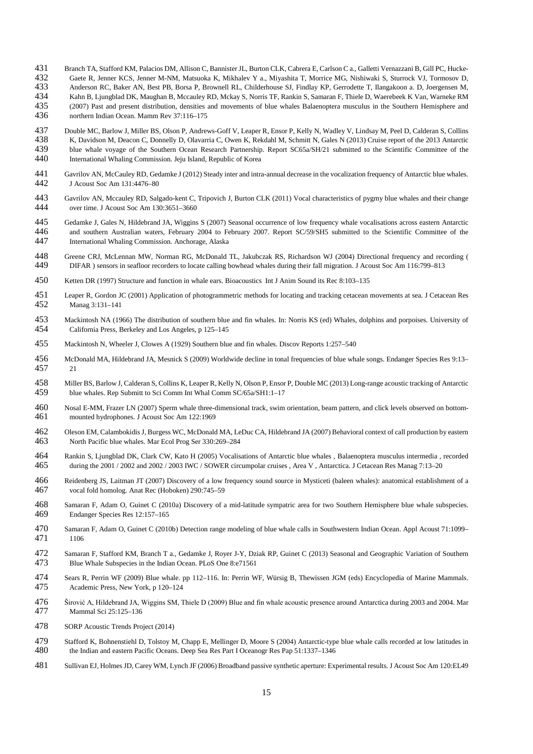- 431 Branch TA, Stafford KM, Palacios DM, Allison C, Bannister JL, Burton CLK, Cabrera E, Carlson C a., Galletti Vernazzani B, Gill PC, Hucke-<br>432 Gaete R. Jenner KCS, Jenner M-NM, Matsuoka K, Mikhalev Y a., Mivashita T, Mo
- Gaete R, Jenner KCS, Jenner M-NM, Matsuoka K, Mikhalev Y a., Miyashita T, Morrice MG, Nishiwaki S, Sturrock VJ, Tormosov D,
- Anderson RC, Baker AN, Best PB, Borsa P, Brownell RL, Childerhouse SJ, Findlay KP, Gerrodette T, Ilangakoon a. D, Joergensen M, 434 Kahn B. Liungblad DK. Maughan B. Mccauley RD, Mckay S, Norris TF, Rankin S, Samaran F, Thi
- Kahn B, Ljungblad DK, Maughan B, Mccauley RD, Mckay S, Norris TF, Rankin S, Samaran F, Thiele D, Waerebeek K Van, Warneke RM
- 435 (2007) Past and present distribution, densities and movements of blue whales Balaenoptera musculus in the Southern Hemisphere and northern Indian Ocean. Mamm Rev 37:116–175 northern Indian Ocean. Mamm Rev 37:116–175
- Double MC, Barlow J, Miller BS, Olson P, Andrews-Goff V, Leaper R, Ensor P, Kelly N, Wadley V, Lindsay M, Peel D, Calderan S, Collins
- K, Davidson M, Deacon C, Donnelly D, Olavarria C, Owen K, Rekdahl M, Schmitt N, Gales N (2013) Cruise report of the 2013 Antarctic
- 439 blue whale voyage of the Southern Ocean Research Partnership. Report SC65a/SH/21 submitted to the Scientific Committee of the 440 International Whaling Commission. Jeju Island, Republic of Korea
- International Whaling Commission. Jeju Island, Republic of Korea
- Gavrilov AN, McCauley RD, Gedamke J (2012) Steady inter and intra-annual decrease in the vocalization frequency of Antarctic blue whales. J Acoust Soc Am 131:4476–80
- Gavrilov AN, Mccauley RD, Salgado-kent C, Tripovich J, Burton CLK (2011) Vocal characteristics of pygmy blue whales and their change over time. J Acoust Soc Am 130:3651-3660
- Gedamke J, Gales N, Hildebrand JA, Wiggins S (2007) Seasonal occurrence of low frequency whale vocalisations across eastern Antarctic 446 and southern Australian waters, February 2004 to February 2007. Report SC/59/SH5 submitted to the Scientific Committee of the 447 International Whaling Commission. Anchorage, Alaska International Whaling Commission. Anchorage, Alaska
- Greene CRJ, McLennan MW, Norman RG, McDonald TL, Jakubczak RS, Richardson WJ (2004) Directional frequency and recording ( DIFAR ) sensors in seafloor recorders to locate calling bowhead whales during their fall migration. J Acoust Soc Am 116:799–813
- Ketten DR (1997) Structure and function in whale ears. Bioacoustics Int J Anim Sound its Rec 8:103–135
- Leaper R, Gordon JC (2001) Application of photogrammetric methods for locating and tracking cetacean movements at sea. J Cetacean Res Manag 3:131–141
- Mackintosh NA (1966) The distribution of southern blue and fin whales. In: Norris KS (ed) Whales, dolphins and porpoises. University of California Press, Berkeley and Los Angeles, p 125–145
- Mackintosh N, Wheeler J, Clowes A (1929) Southern blue and fin whales. Discov Reports 1:257–540
- McDonald MA, Hildebrand JA, Mesnick S (2009) Worldwide decline in tonal frequencies of blue whale songs. Endanger Species Res 9:13– 21
- 458 Miller BS, Barlow J, Calderan S, Collins K, Leaper R, Kelly N, Olson P, Ensor P, Double MC (2013) Long-range acoustic tracking of Antarctic 459 blue whales. Rep Submitt to Sci Comm Int Whal Comm SC/65a/SH1:1–17 blue whales. Rep Submitt to Sci Comm Int Whal Comm SC/65a/SH1:1-17
- Nosal E-MM, Frazer LN (2007) Sperm whale three-dimensional track, swim orientation, beam pattern, and click levels observed on bottommounted hydrophones. J Acoust Soc Am 122:1969
- Oleson EM, Calambokidis J, Burgess WC, McDonald MA, LeDuc CA, Hildebrand JA (2007) Behavioral context of call production by eastern North Pacific blue whales. Mar Ecol Prog Ser 330:269–284
- 464 Rankin S, Ljungblad DK, Clark CW, Kato H (2005) Vocalisations of Antarctic blue whales , Balaenoptera musculus intermedia , recorded 465 during the 2001 / 2002 and 2002 / 2003 IWC / SOWER circumpolar cruises , Area V, during the 2001 / 2002 and 2002 / 2003 IWC / SOWER circumpolar cruises, Area V, Antarctica. J Cetacean Res Manag 7:13-20
- Reidenberg JS, Laitman JT (2007) Discovery of a low frequency sound source in Mysticeti (baleen whales): anatomical establishment of a vocal fold homolog. Anat Rec (Hoboken) 290:745–59
- Samaran F, Adam O, Guinet C (2010a) Discovery of a mid-latitude sympatric area for two Southern Hemisphere blue whale subspecies. Endanger Species Res 12:157–165
- Samaran F, Adam O, Guinet C (2010b) Detection range modeling of blue whale calls in Southwestern Indian Ocean. Appl Acoust 71:1099– 1106
- Samaran F, Stafford KM, Branch T a., Gedamke J, Royer J-Y, Dziak RP, Guinet C (2013) Seasonal and Geographic Variation of Southern Blue Whale Subspecies in the Indian Ocean. PLoS One 8:e71561
- Sears R, Perrin WF (2009) Blue whale. pp 112–116. In: Perrin WF, Würsig B, Thewissen JGM (eds) Encyclopedia of Marine Mammals. Academic Press, New York, p 120–124
- Širović A, Hildebrand JA, Wiggins SM, Thiele D (2009) Blue and fin whale acoustic presence around Antarctica during 2003 and 2004. Mar Mammal Sci 25:125–136
- SORP Acoustic Trends Project (2014)
- 479 Stafford K, Bohnenstiehl D, Tolstoy M, Chapp E, Mellinger D, Moore S (2004) Antarctic-type blue whale calls recorded at low latitudes in the Indian and eastern Pacific Oceans. Deep Sea Res Part I Oceanogr Res Pap 51:13 the Indian and eastern Pacific Oceans. Deep Sea Res Part I Oceanogr Res Pap 51:1337-1346
- Sullivan EJ, Holmes JD, Carey WM, Lynch JF (2006) Broadband passive synthetic aperture: Experimental results. J Acoust Soc Am 120:EL49